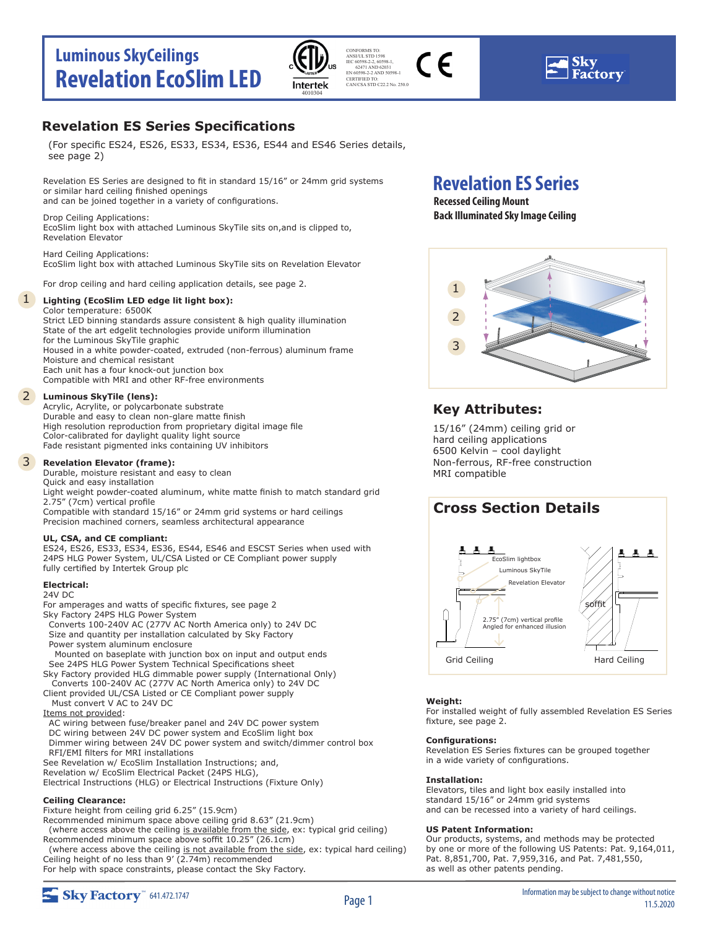## **Luminous SkyCeilings Revelation EcoSlim LED**



CONFORMS TO:  $\epsilon$ ANSI/UL STD 1598 IEC 60598-2-2, 60598-1, 62471 AND 62031 EN 60598-2-2 AND 50598-1 CERTIFIED TO: CAN/CSA STD C22.2 No. 250.0

### **Revelation ES Series Specifications**

(For specific ES24, ES26, ES33, ES34, ES36, ES44 and ES46 Series details, see page 2)

Revelation ES Series are designed to fit in standard 15/16" or 24mm grid systems or similar hard ceiling finished openings and can be joined together in a variety of configurations.

Drop Ceiling Applications: EcoSlim light box with attached Luminous SkyTile sits on,and is clipped to, Revelation Elevator

Hard Ceiling Applications: EcoSlim light box with attached Luminous SkyTile sits on Revelation Elevator

For drop ceiling and hard ceiling application details, see page 2.

### 1 **Lighting (EcoSlim LED edge lit light box):**

Color temperature: 6500K Strict LED binning standards assure consistent & high quality illumination State of the art edgelit technologies provide uniform illumination for the Luminous SkyTile graphic Housed in a white powder-coated, extruded (non-ferrous) aluminum frame Moisture and chemical resistant Each unit has a four knock-out junction box Compatible with MRI and other RF-free environments

### 2 **Luminous SkyTile (lens):**

Acrylic, Acrylite, or polycarbonate substrate Durable and easy to clean non-glare matte finish High resolution reproduction from proprietary digital image file Color-calibrated for daylight quality light source Fade resistant pigmented inks containing UV inhibitors

#### 3 **Revelation Elevator (frame):**

Durable, moisture resistant and easy to clean Quick and easy installation Light weight powder-coated aluminum, white matte finish to match standard grid 2.75" (7cm) vertical profile

Compatible with standard 15/16" or 24mm grid systems or hard ceilings Precision machined corners, seamless architectural appearance

### **UL, CSA, and CE compliant:**

ES24, ES26, ES33, ES34, ES36, ES44, ES46 and ESCST Series when used with 24PS HLG Power System, UL/CSA Listed or CE Compliant power supply fully certified by Intertek Group plc

### **Electrical:**

24V DC

- For amperages and watts of specific fixtures, see page 2 Sky Factory 24PS HLG Power System Converts 100-240V AC (277V AC North America only) to 24V DC Size and quantity per installation calculated by Sky Factory Power system aluminum enclosure Mounted on baseplate with junction box on input and output ends
- See 24PS HLG Power System Technical Specifications sheet Sky Factory provided HLG dimmable power supply (International Only)
- Converts 100-240V AC (277V AC North America only) to 24V DC Client provided UL/CSA Listed or CE Compliant power supply
- Must convert V AC to 24V DC
- Items not provided:
- AC wiring between fuse/breaker panel and 24V DC power system DC wiring between 24V DC power system and EcoSlim light box Dimmer wiring between 24V DC power system and switch/dimmer control box RFI/EMI filters for MRI installations
- See Revelation w/ EcoSlim Installation Instructions; and,

Revelation w/ EcoSlim Electrical Packet (24PS HLG), Electrical Instructions (HLG) or Electrical Instructions (Fixture Only)

### **Ceiling Clearance:**

Fixture height from ceiling grid 6.25" (15.9cm)

Recommended minimum space above ceiling grid 8.63" (21.9cm) (where access above the ceiling is available from the side, ex: typical grid ceiling)

Recommended minimum space above soffit 10.25" (26.1cm)

 (where access above the ceiling is not available from the side, ex: typical hard ceiling) Ceiling height of no less than 9' (2.74m) recommended For help with space constraints, please contact the Sky Factory.

## **Revelation ES Series**

**Recessed Ceiling Mount Back Illuminated Sky Image Ceiling**



### **Key Attributes:**

15/16" (24mm) ceiling grid or hard ceiling applications 6500 Kelvin – cool daylight Non-ferrous, RF-free construction MRI compatible

## **Cross Section Details**



### **Weight:**

For installed weight of fully assembled Revelation ES Series fixture, see page 2.

### **Configurations:**

Revelation ES Series fixtures can be grouped together in a wide variety of configurations.

### **Installation:**

Elevators, tiles and light box easily installed into standard 15/16" or 24mm grid systems and can be recessed into a variety of hard ceilings.

### **US Patent Information:**

Our products, systems, and methods may be protected by one or more of the following US Patents: Pat. 9,164,011, Pat. 8,851,700, Pat. 7,959,316, and Pat. 7,481,550, as well as other patents pending.